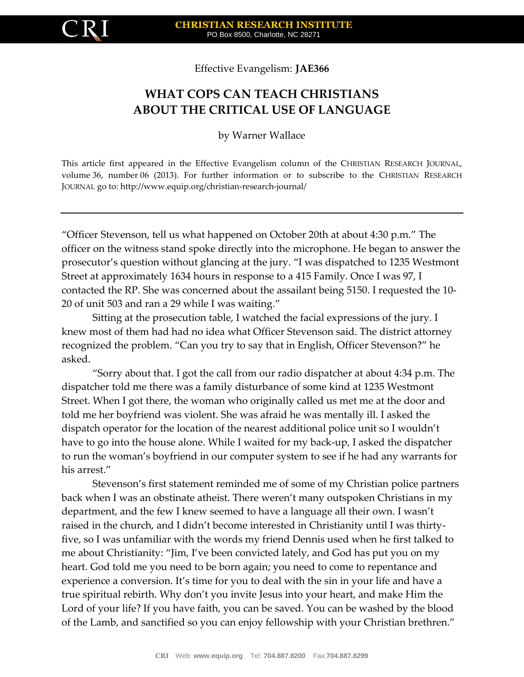

Effective Evangelism: **JAE366**

## **WHAT COPS CAN TEACH CHRISTIANS ABOUT THE CRITICAL USE OF LANGUAGE**

by Warner Wallace

This article first appeared in the Effective Evangelism column of the CHRISTIAN RESEARCH JOURNAL, volume 36, number 06 (2013). For further information or to subscribe to the CHRISTIAN RESEARCH JOURNAL go to: http://www.equip.org/christian-research-journal/

"Officer Stevenson, tell us what happened on October 20th at about 4:30 p.m." The officer on the witness stand spoke directly into the microphone. He began to answer the prosecutor's question without glancing at the jury. "I was dispatched to 1235 Westmont Street at approximately 1634 hours in response to a 415 Family. Once I was 97, I contacted the RP. She was concerned about the assailant being 5150. I requested the 10- 20 of unit 503 and ran a 29 while I was waiting."

Sitting at the prosecution table, I watched the facial expressions of the jury. I knew most of them had had no idea what Officer Stevenson said. The district attorney recognized the problem. "Can you try to say that in English, Officer Stevenson?" he asked.

"Sorry about that. I got the call from our radio dispatcher at about 4:34 p.m. The dispatcher told me there was a family disturbance of some kind at 1235 Westmont Street. When I got there, the woman who originally called us met me at the door and told me her boyfriend was violent. She was afraid he was mentally ill. I asked the dispatch operator for the location of the nearest additional police unit so I wouldn't have to go into the house alone. While I waited for my back-up, I asked the dispatcher to run the woman's boyfriend in our computer system to see if he had any warrants for his arrest."

Stevenson's first statement reminded me of some of my Christian police partners back when I was an obstinate atheist. There weren't many outspoken Christians in my department, and the few I knew seemed to have a language all their own. I wasn't raised in the church, and I didn't become interested in Christianity until I was thirtyfive, so I was unfamiliar with the words my friend Dennis used when he first talked to me about Christianity: "Jim, I've been convicted lately, and God has put you on my heart. God told me you need to be born again; you need to come to repentance and experience a conversion. It's time for you to deal with the sin in your life and have a true spiritual rebirth. Why don't you invite Jesus into your heart, and make Him the Lord of your life? If you have faith, you can be saved. You can be washed by the blood of the Lamb, and sanctified so you can enjoy fellowship with your Christian brethren."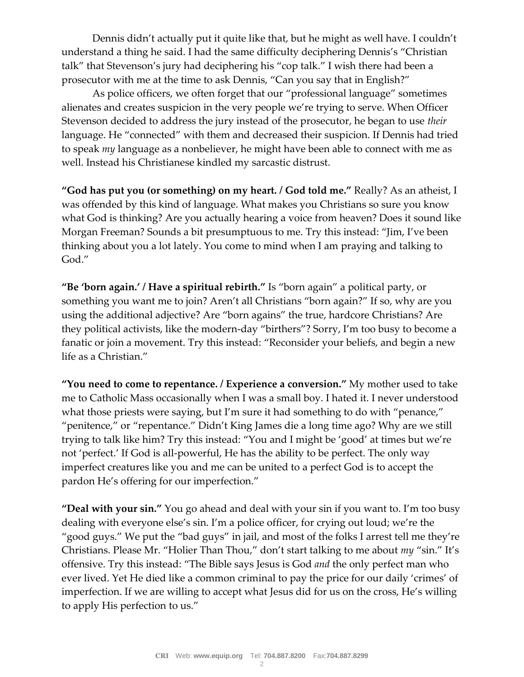Dennis didn't actually put it quite like that, but he might as well have. I couldn't understand a thing he said. I had the same difficulty deciphering Dennis's "Christian talk" that Stevenson's jury had deciphering his "cop talk." I wish there had been a prosecutor with me at the time to ask Dennis, "Can you say that in English?"

As police officers, we often forget that our "professional language" sometimes alienates and creates suspicion in the very people we're trying to serve. When Officer Stevenson decided to address the jury instead of the prosecutor, he began to use *their* language. He "connected" with them and decreased their suspicion. If Dennis had tried to speak *my* language as a nonbeliever, he might have been able to connect with me as well. Instead his Christianese kindled my sarcastic distrust.

**"God has put you (or something) on my heart. / God told me."** Really? As an atheist, I was offended by this kind of language. What makes you Christians so sure you know what God is thinking? Are you actually hearing a voice from heaven? Does it sound like Morgan Freeman? Sounds a bit presumptuous to me. Try this instead: "Jim, I've been thinking about you a lot lately. You come to mind when I am praying and talking to God."

**"Be 'born again.' / Have a spiritual rebirth."** Is "born again" a political party, or something you want me to join? Aren't all Christians "born again?" If so, why are you using the additional adjective? Are "born agains" the true, hardcore Christians? Are they political activists, like the modern-day "birthers"? Sorry, I'm too busy to become a fanatic or join a movement. Try this instead: "Reconsider your beliefs, and begin a new life as a Christian."

**"You need to come to repentance. / Experience a conversion."** My mother used to take me to Catholic Mass occasionally when I was a small boy. I hated it. I never understood what those priests were saying, but I'm sure it had something to do with "penance," "penitence," or "repentance." Didn't King James die a long time ago? Why are we still trying to talk like him? Try this instead: "You and I might be 'good' at times but we're not 'perfect.' If God is all-powerful, He has the ability to be perfect. The only way imperfect creatures like you and me can be united to a perfect God is to accept the pardon He's offering for our imperfection."

**"Deal with your sin."** You go ahead and deal with your sin if you want to. I'm too busy dealing with everyone else's sin. I'm a police officer, for crying out loud; we're the "good guys." We put the "bad guys" in jail, and most of the folks I arrest tell me they're Christians. Please Mr. "Holier Than Thou," don't start talking to me about *my* "sin." It's offensive. Try this instead: "The Bible says Jesus is God *and* the only perfect man who ever lived. Yet He died like a common criminal to pay the price for our daily 'crimes' of imperfection. If we are willing to accept what Jesus did for us on the cross, He's willing to apply His perfection to us."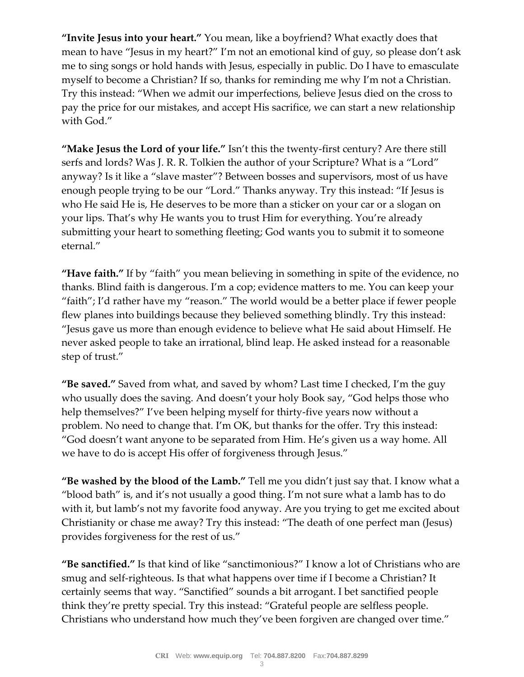**"Invite Jesus into your heart."** You mean, like a boyfriend? What exactly does that mean to have "Jesus in my heart?" I'm not an emotional kind of guy, so please don't ask me to sing songs or hold hands with Jesus, especially in public. Do I have to emasculate myself to become a Christian? If so, thanks for reminding me why I'm not a Christian. Try this instead: "When we admit our imperfections, believe Jesus died on the cross to pay the price for our mistakes, and accept His sacrifice, we can start a new relationship with God."

**"Make Jesus the Lord of your life."** Isn't this the twenty-first century? Are there still serfs and lords? Was J. R. R. Tolkien the author of your Scripture? What is a "Lord" anyway? Is it like a "slave master"? Between bosses and supervisors, most of us have enough people trying to be our "Lord." Thanks anyway. Try this instead: "If Jesus is who He said He is, He deserves to be more than a sticker on your car or a slogan on your lips. That's why He wants you to trust Him for everything. You're already submitting your heart to something fleeting; God wants you to submit it to someone eternal."

**"Have faith."** If by "faith" you mean believing in something in spite of the evidence, no thanks. Blind faith is dangerous. I'm a cop; evidence matters to me. You can keep your "faith"; I'd rather have my "reason." The world would be a better place if fewer people flew planes into buildings because they believed something blindly. Try this instead: "Jesus gave us more than enough evidence to believe what He said about Himself. He never asked people to take an irrational, blind leap. He asked instead for a reasonable step of trust."

**"Be saved."** Saved from what, and saved by whom? Last time I checked, I'm the guy who usually does the saving. And doesn't your holy Book say, "God helps those who help themselves?" I've been helping myself for thirty-five years now without a problem. No need to change that. I'm OK, but thanks for the offer. Try this instead: "God doesn't want anyone to be separated from Him. He's given us a way home. All we have to do is accept His offer of forgiveness through Jesus."

**"Be washed by the blood of the Lamb."** Tell me you didn't just say that. I know what a "blood bath" is, and it's not usually a good thing. I'm not sure what a lamb has to do with it, but lamb's not my favorite food anyway. Are you trying to get me excited about Christianity or chase me away? Try this instead: "The death of one perfect man (Jesus) provides forgiveness for the rest of us."

**"Be sanctified."** Is that kind of like "sanctimonious?" I know a lot of Christians who are smug and self-righteous. Is that what happens over time if I become a Christian? It certainly seems that way. "Sanctified" sounds a bit arrogant. I bet sanctified people think they're pretty special. Try this instead: "Grateful people are selfless people. Christians who understand how much they've been forgiven are changed over time."